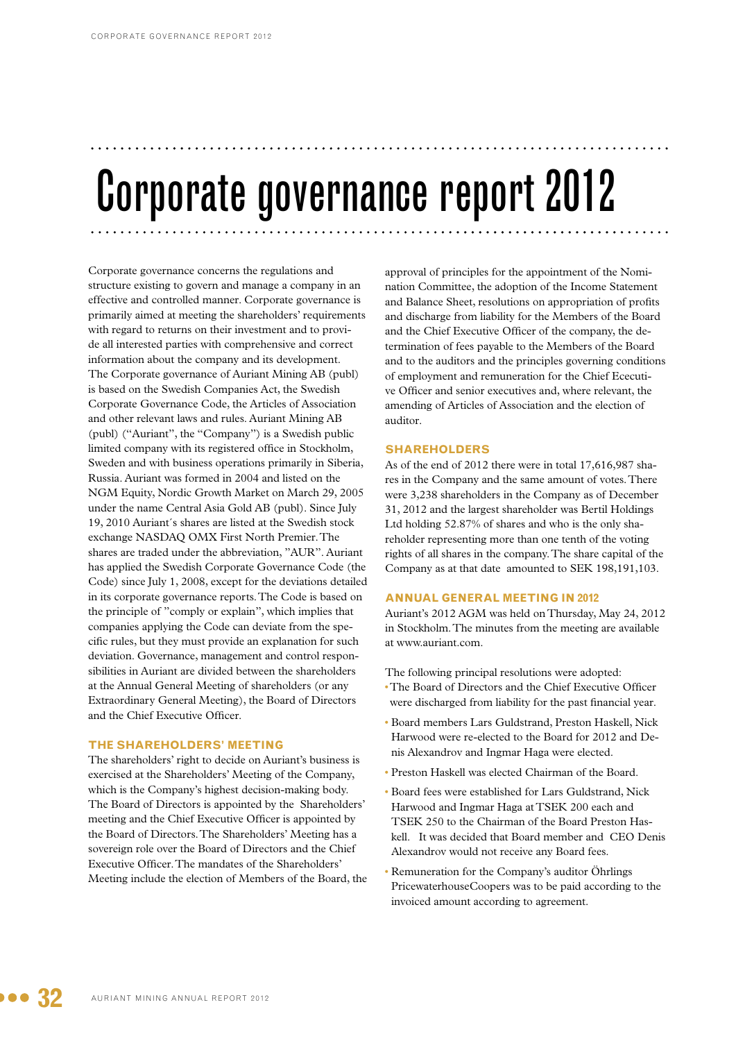# Corporate governance report 2012

Corporate governance concerns the regulations and structure existing to govern and manage a company in an effective and controlled manner. Corporate governance is primarily aimed at meeting the shareholders' requirements with regard to returns on their investment and to provide all interested parties with comprehensive and correct information about the company and its development. The Corporate governance of Auriant Mining AB (publ) is based on the Swedish Companies Act, the Swedish Corporate Governance Code, the Articles of Association and other relevant laws and rules. Auriant Mining AB (publ) ("Auriant", the "Company") is a Swedish public limited company with its registered office in Stockholm, Sweden and with business operations primarily in Siberia, Russia. Auriant was formed in 2004 and listed on the NGM Equity, Nordic Growth Market on March 29, 2005 under the name Central Asia Gold AB (publ). Since July 19, 2010 Auriant´s shares are listed at the Swedish stock exchange NASDAQ OMX First North Premier. The shares are traded under the abbreviation, "AUR". Auriant has applied the Swedish Corporate Governance Code (the Code) since July 1, 2008, except for the deviations detailed in its corporate governance reports. The Code is based on the principle of "comply or explain", which implies that companies applying the Code can deviate from the specific rules, but they must provide an explanation for such deviation. Governance, management and control responsibilities in Auriant are divided between the shareholders at the Annual General Meeting of shareholders (or any Extraordinary General Meeting), the Board of Directors and the Chief Executive Officer.

#### **The Shareholders' Meeting**

The shareholders' right to decide on Auriant's business is exercised at the Shareholders' Meeting of the Company, which is the Company's highest decision-making body. The Board of Directors is appointed by the Shareholders' meeting and the Chief Executive Officer is appointed by the Board of Directors. The Shareholders' Meeting has a sovereign role over the Board of Directors and the Chief Executive Officer. The mandates of the Shareholders' Meeting include the election of Members of the Board, the approval of principles for the appointment of the Nomination Committee, the adoption of the Income Statement and Balance Sheet, resolutions on appropriation of profits and discharge from liability for the Members of the Board and the Chief Executive Officer of the company, the determination of fees payable to the Members of the Board and to the auditors and the principles governing conditions of employment and remuneration for the Chief Ececutive Officer and senior executives and, where relevant, the amending of Articles of Association and the election of auditor.

#### **Shareholders**

As of the end of 2012 there were in total 17,616,987 shares in the Company and the same amount of votes. There were 3,238 shareholders in the Company as of December 31, 2012 and the largest shareholder was Bertil Holdings Ltd holding 52.87% of shares and who is the only shareholder representing more than one tenth of the voting rights of all shares in the company. The share capital of the Company as at that date amounted to SEK 198,191,103.

## **Annual General Meeting in 2012**

Auriant's 2012 AGM was held on Thursday, May 24, 2012 in Stockholm. The minutes from the meeting are available at www.auriant.com.

- The following principal resolutions were adopted:
- •The Board of Directors and the Chief Executive Officer were discharged from liability for the past financial year.
- Board members Lars Guldstrand, Preston Haskell, Nick Harwood were re-elected to the Board for 2012 and Denis Alexandrov and Ingmar Haga were elected.
- Preston Haskell was elected Chairman of the Board.
- Board fees were established for Lars Guldstrand, Nick Harwood and Ingmar Haga at TSEK 200 each and TSEK 250 to the Chairman of the Board Preston Haskell. It was decided that Board member and CEO Denis Alexandrov would not receive any Board fees.
- Remuneration for the Company's auditor Öhrlings PricewaterhouseCoopers was to be paid according to the invoiced amount according to agreement.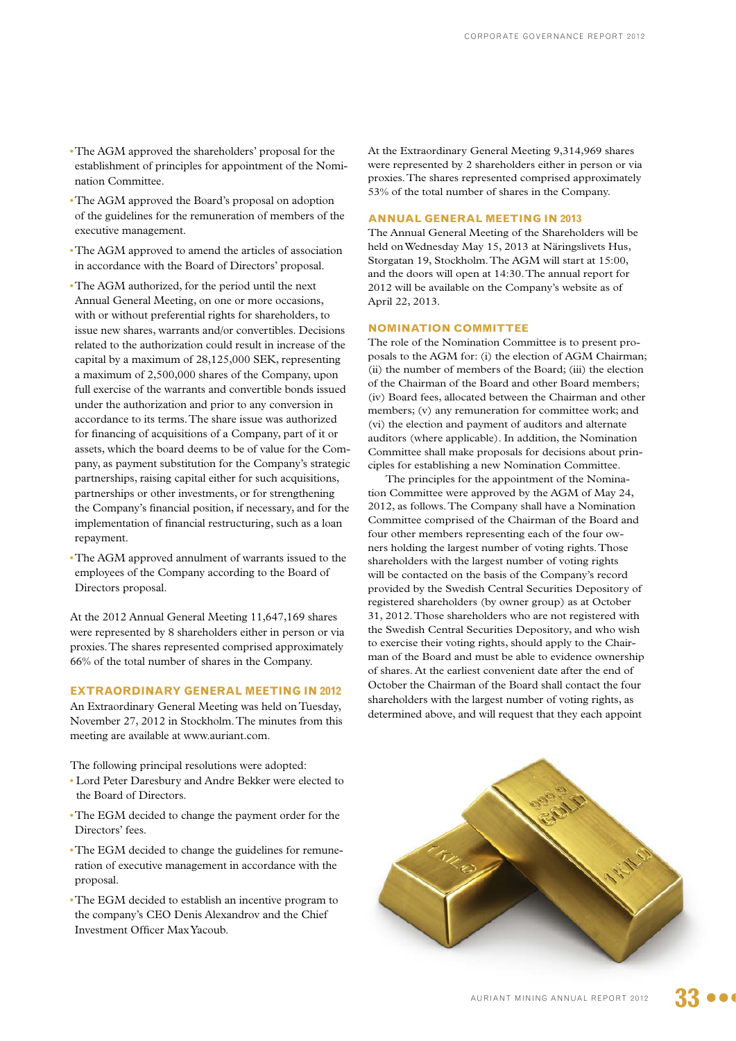- •The AGM approved the shareholders' proposal for the establishment of principles for appointment of the Nomination Committee.
- •The AGM approved the Board's proposal on adoption of the guidelines for the remuneration of members of the executive management.
- •The AGM approved to amend the articles of association in accordance with the Board of Directors' proposal.
- •The AGM authorized, for the period until the next Annual General Meeting, on one or more occasions, with or without preferential rights for shareholders, to issue new shares, warrants and/or convertibles. Decisions related to the authorization could result in increase of the capital by a maximum of 28,125,000 SEK, representing a maximum of 2,500,000 shares of the Company, upon full exercise of the warrants and convertible bonds issued under the authorization and prior to any conversion in accordance to its terms. The share issue was authorized for financing of acquisitions of a Company, part of it or assets, which the board deems to be of value for the Company, as payment substitution for the Company's strategic partnerships, raising capital either for such acquisitions, partnerships or other investments, or for strengthening the Company's financial position, if necessary, and for the implementation of financial restructuring, such as a loan repayment.
- •The AGM approved annulment of warrants issued to the employees of the Company according to the Board of Directors proposal.

At the 2012 Annual General Meeting 11,647,169 shares were represented by 8 shareholders either in person or via proxies. The shares represented comprised approximately 66% of the total number of shares in the Company.

## **Extraordinary General Meeting in 2012**

An Extraordinary General Meeting was held on Tuesday, November 27, 2012 in Stockholm. The minutes from this meeting are available at www.auriant.com.

The following principal resolutions were adopted:

- Lord Peter Daresbury and Andre Bekker were elected to the Board of Directors.
- •The EGM decided to change the payment order for the Directors' fees.
- •The EGM decided to change the guidelines for remuneration of executive management in accordance with the proposal.
- •The EGM decided to establish an incentive program to the company's CEO Denis Alexandrov and the Chief Investment Officer Max Yacoub.

At the Extraordinary General Meeting 9,314,969 shares were represented by 2 shareholders either in person or via proxies. The shares represented comprised approximately 53% of the total number of shares in the Company.

## **Annual General Meeting in 2013**

The Annual General Meeting of the Shareholders will be held on Wednesday May 15, 2013 at Näringslivets Hus, Storgatan 19, Stockholm. The AGM will start at 15:00, and the doors will open at 14:30. The annual report for 2012 will be available on the Company's website as of April 22, 2013.

#### **Nomination Committee**

The role of the Nomination Committee is to present proposals to the AGM for: (i) the election of AGM Chairman; (ii) the number of members of the Board; (iii) the election of the Chairman of the Board and other Board members; (iv) Board fees, allocated between the Chairman and other members; (v) any remuneration for committee work; and (vi) the election and payment of auditors and alternate auditors (where applicable). In addition, the Nomination Committee shall make proposals for decisions about principles for establishing a new Nomination Committee.

The principles for the appointment of the Nomination Committee were approved by the AGM of May 24, 2012, as follows. The Company shall have a Nomination Committee comprised of the Chairman of the Board and four other members representing each of the four owners holding the largest number of voting rights. Those shareholders with the largest number of voting rights will be contacted on the basis of the Company's record provided by the Swedish Central Securities Depository of registered shareholders (by owner group) as at October 31, 2012. Those shareholders who are not registered with the Swedish Central Securities Depository, and who wish to exercise their voting rights, should apply to the Chairman of the Board and must be able to evidence ownership of shares. At the earliest convenient date after the end of October the Chairman of the Board shall contact the four shareholders with the largest number of voting rights, as determined above, and will request that they each appoint

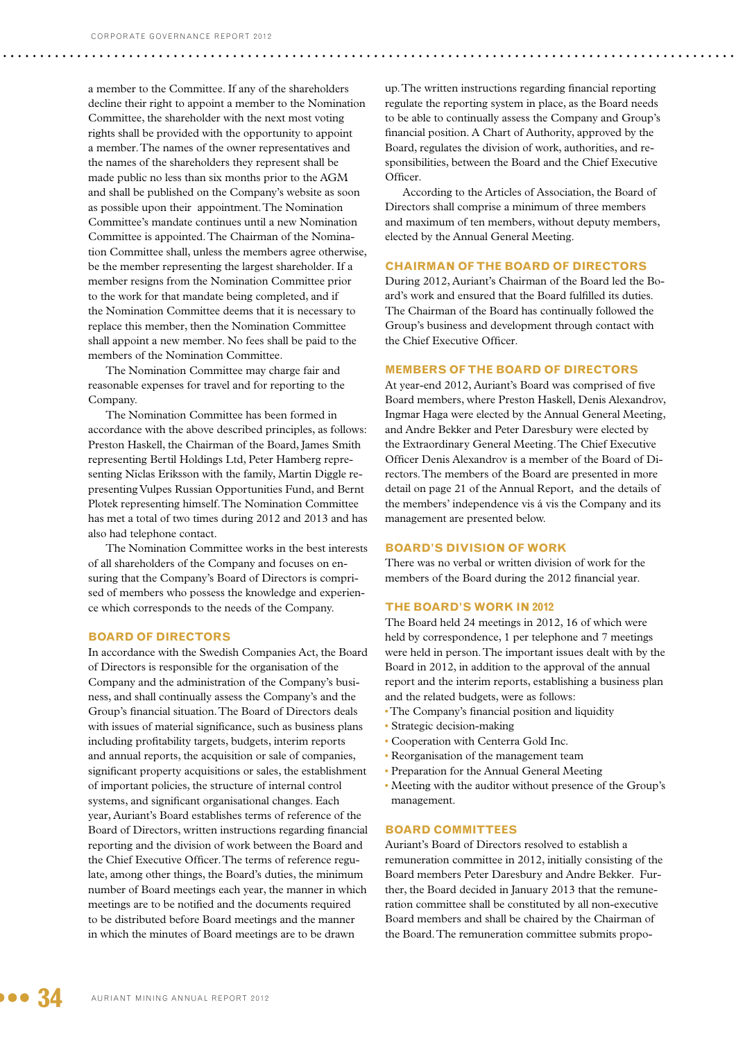a member to the Committee. If any of the shareholders decline their right to appoint a member to the Nomination Committee, the shareholder with the next most voting rights shall be provided with the opportunity to appoint a member. The names of the owner representatives and the names of the shareholders they represent shall be made public no less than six months prior to the AGM and shall be published on the Company's website as soon as possible upon their appointment. The Nomination Committee's mandate continues until a new Nomination Committee is appointed. The Chairman of the Nomination Committee shall, unless the members agree otherwise, be the member representing the largest shareholder. If a member resigns from the Nomination Committee prior to the work for that mandate being completed, and if the Nomination Committee deems that it is necessary to replace this member, then the Nomination Committee shall appoint a new member. No fees shall be paid to the members of the Nomination Committee.

The Nomination Committee may charge fair and reasonable expenses for travel and for reporting to the Company.

The Nomination Committee has been formed in accordance with the above described principles, as follows: Preston Haskell, the Chairman of the Board, James Smith representing Bertil Holdings Ltd, Peter Hamberg representing Niclas Eriksson with the family, Martin Diggle representing Vulpes Russian Opportunities Fund, and Bernt Plotek representing himself. The Nomination Committee has met a total of two times during 2012 and 2013 and has also had telephone contact.

The Nomination Committee works in the best interests of all shareholders of the Company and focuses on ensuring that the Company's Board of Directors is comprised of members who possess the knowledge and experience which corresponds to the needs of the Company.

#### **Board of Directors**

In accordance with the Swedish Companies Act, the Board of Directors is responsible for the organisation of the Company and the administration of the Company's business, and shall continually assess the Company's and the Group's financial situation. The Board of Directors deals with issues of material significance, such as business plans including profitability targets, budgets, interim reports and annual reports, the acquisition or sale of companies, significant property acquisitions or sales, the establishment of important policies, the structure of internal control systems, and significant organisational changes. Each year, Auriant's Board establishes terms of reference of the Board of Directors, written instructions regarding financial reporting and the division of work between the Board and the Chief Executive Officer. The terms of reference regulate, among other things, the Board's duties, the minimum number of Board meetings each year, the manner in which meetings are to be notified and the documents required to be distributed before Board meetings and the manner in which the minutes of Board meetings are to be drawn

up. The written instructions regarding financial reporting regulate the reporting system in place, as the Board needs to be able to continually assess the Company and Group's financial position. A Chart of Authority, approved by the Board, regulates the division of work, authorities, and responsibilities, between the Board and the Chief Executive Officer.

According to the Articles of Association, the Board of Directors shall comprise a minimum of three members and maximum of ten members, without deputy members, elected by the Annual General Meeting.

#### **Chairman of the Board of Directors**

During 2012, Auriant's Chairman of the Board led the Board's work and ensured that the Board fulfilled its duties. The Chairman of the Board has continually followed the Group's business and development through contact with the Chief Executive Officer.

## **Members of the Board of Directors**

At year-end 2012, Auriant's Board was comprised of five Board members, where Preston Haskell, Denis Alexandrov, Ingmar Haga were elected by the Annual General Meeting, and Andre Bekker and Peter Daresbury were elected by the Extraordinary General Meeting. The Chief Executive Officer Denis Alexandrov is a member of the Board of Directors. The members of the Board are presented in more detail on page 21 of the Annual Report, and the details of the members' independence vis á vis the Company and its management are presented below.

### **Board's division of work**

There was no verbal or written division of work for the members of the Board during the 2012 financial year.

## **The Board's work in 2012**

The Board held 24 meetings in 2012, 16 of which were held by correspondence, 1 per telephone and 7 meetings were held in person. The important issues dealt with by the Board in 2012, in addition to the approval of the annual report and the interim reports, establishing a business plan and the related budgets, were as follows:

- •The Company's financial position and liquidity
- Strategic decision-making
- Cooperation with Centerra Gold Inc.
- Reorganisation of the management team
- Preparation for the Annual General Meeting
- Meeting with the auditor without presence of the Group's management.

## **Board committees**

Auriant's Board of Directors resolved to establish a remuneration committee in 2012, initially consisting of the Board members Peter Daresbury and Andre Bekker. Further, the Board decided in January 2013 that the remuneration committee shall be constituted by all non-executive Board members and shall be chaired by the Chairman of the Board. The remuneration committee submits propo-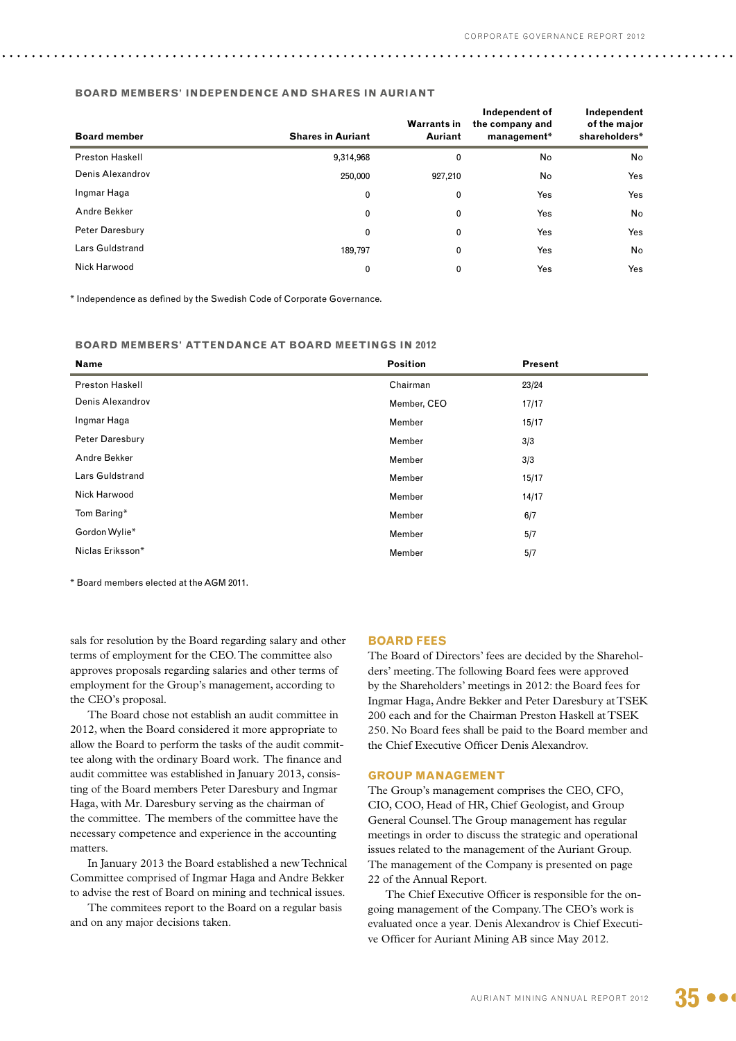## **Board members' independence and shares in Auriant**

| <b>Board member</b>    | <b>Shares in Auriant</b> | <b>Warrants in</b><br><b>Auriant</b> | Independent of<br>the company and<br>management* | Independent<br>of the major<br>shareholders* |
|------------------------|--------------------------|--------------------------------------|--------------------------------------------------|----------------------------------------------|
| <b>Preston Haskell</b> | 9,314,968                | 0                                    | No                                               | No                                           |
| Denis Alexandrov       | 250,000                  | 927,210                              | No                                               | Yes                                          |
| Ingmar Haga            | 0                        | 0                                    | Yes                                              | Yes                                          |
| Andre Bekker           | 0                        | 0                                    | Yes                                              | No                                           |
| Peter Daresbury        | 0                        | 0                                    | Yes                                              | Yes                                          |
| Lars Guldstrand        | 189.797                  | 0                                    | Yes                                              | <b>No</b>                                    |
| Nick Harwood           | 0                        | 0                                    | Yes                                              | Yes                                          |

\* Independence as defined by the Swedish Code of Corporate Governance.

**Board members' attendance at Board meetings in 2012**

| <b>Name</b>            | <b>Position</b> | <b>Present</b> |
|------------------------|-----------------|----------------|
| <b>Preston Haskell</b> | Chairman        | 23/24          |
| Denis Alexandrov       | Member, CEO     | 17/17          |
| Ingmar Haga            | Member          | 15/17          |
| Peter Daresbury        | Member          | 3/3            |
| Andre Bekker           | Member          | 3/3            |
| Lars Guldstrand        | Member          | 15/17          |
| Nick Harwood           | Member          | 14/17          |
| Tom Baring*            | Member          | 6/7            |
| Gordon Wylie*          | Member          | 5/7            |
| Niclas Eriksson*       | Member          | 5/7            |

\* Board members elected at the AGM 2011.

sals for resolution by the Board regarding salary and other terms of employment for the CEO. The committee also approves proposals regarding salaries and other terms of employment for the Group's management, according to the CEO's proposal.

The Board chose not establish an audit committee in 2012, when the Board considered it more appropriate to allow the Board to perform the tasks of the audit committee along with the ordinary Board work. The finance and audit committee was established in January 2013, consisting of the Board members Peter Daresbury and Ingmar Haga, with Mr. Daresbury serving as the chairman of the committee. The members of the committee have the necessary competence and experience in the accounting matters.

In January 2013 the Board established a new Technical Committee comprised of Ingmar Haga and Andre Bekker to advise the rest of Board on mining and technical issues.

The commitees report to the Board on a regular basis and on any major decisions taken.

#### **Board fees**

The Board of Directors' fees are decided by the Shareholders' meeting. The following Board fees were approved by the Shareholders' meetings in 2012: the Board fees for Ingmar Haga, Andre Bekker and Peter Daresbury at TSEK 200 each and for the Chairman Preston Haskell at TSEK 250. No Board fees shall be paid to the Board member and the Chief Executive Officer Denis Alexandrov.

## **Group management**

The Group's management comprises the CEO, CFO, CIO, COO, Head of HR, Chief Geologist, and Group General Counsel. The Group management has regular meetings in order to discuss the strategic and operational issues related to the management of the Auriant Group. The management of the Company is presented on page 22 of the Annual Report.

The Chief Executive Officer is responsible for the ongoing management of the Company. The CEO's work is evaluated once a year. Denis Alexandrov is Chief Executive Officer for Auriant Mining AB since May 2012.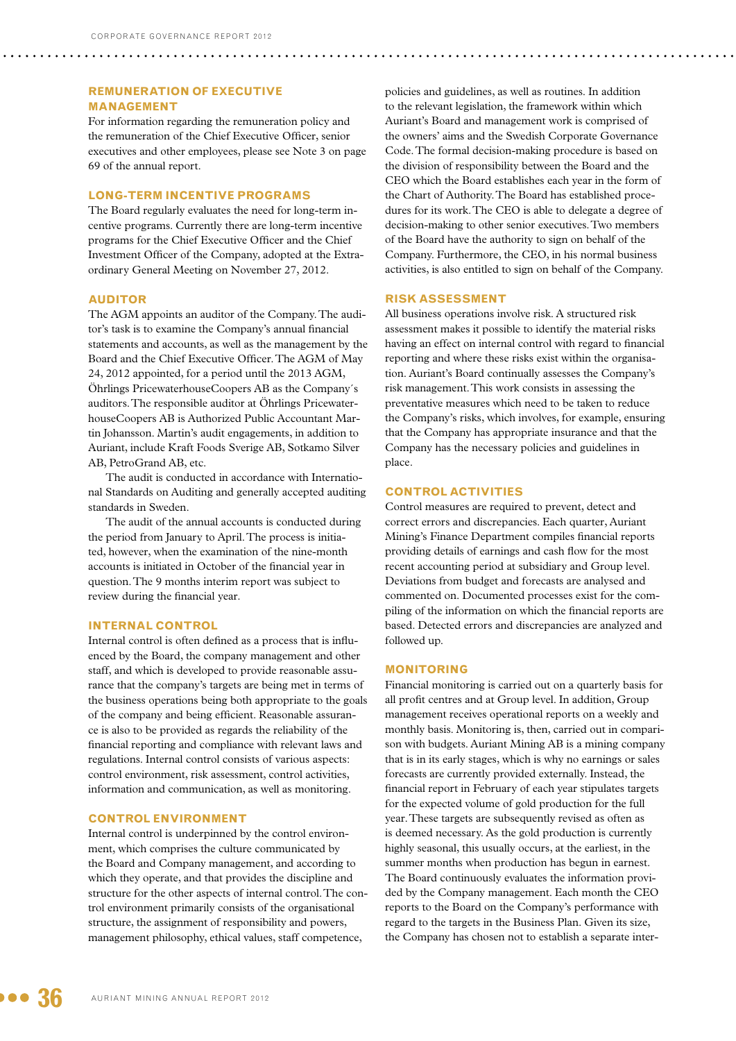# **Remuneration of Executive MANAGEMENT**

For information regarding the remuneration policy and the remuneration of the Chief Executive Officer, senior executives and other employees, please see Note 3 on page 69 of the annual report.

## **Long-term incentive programs**

The Board regularly evaluates the need for long-term incentive programs. Currently there are long-term incentive programs for the Chief Executive Officer and the Chief Investment Officer of the Company, adopted at the Extraordinary General Meeting on November 27, 2012.

## **Auditor**

The AGM appoints an auditor of the Company. The auditor's task is to examine the Company's annual financial statements and accounts, as well as the management by the Board and the Chief Executive Officer. The AGM of May 24, 2012 appointed, for a period until the 2013 AGM, Öhrlings PricewaterhouseCoopers AB as the Company´s auditors. The responsible auditor at Öhrlings PricewaterhouseCoopers AB is Authorized Public Accountant Martin Johansson. Martin's audit engagements, in addition to Auriant, include Kraft Foods Sverige AB, Sotkamo Silver AB, PetroGrand AB, etc.

The audit is conducted in accordance with International Standards on Auditing and generally accepted auditing standards in Sweden.

The audit of the annual accounts is conducted during the period from January to April. The process is initiated, however, when the examination of the nine-month accounts is initiated in October of the financial year in question. The 9 months interim report was subject to review during the financial year.

## **Internal control**

Internal control is often defined as a process that is influenced by the Board, the company management and other staff, and which is developed to provide reasonable assurance that the company's targets are being met in terms of the business operations being both appropriate to the goals of the company and being efficient. Reasonable assurance is also to be provided as regards the reliability of the financial reporting and compliance with relevant laws and regulations. Internal control consists of various aspects: control environment, risk assessment, control activities, information and communication, as well as monitoring.

## **Control environment**

Internal control is underpinned by the control environment, which comprises the culture communicated by the Board and Company management, and according to which they operate, and that provides the discipline and structure for the other aspects of internal control. The control environment primarily consists of the organisational structure, the assignment of responsibility and powers, management philosophy, ethical values, staff competence,

policies and guidelines, as well as routines. In addition to the relevant legislation, the framework within which Auriant's Board and management work is comprised of the owners' aims and the Swedish Corporate Governance Code. The formal decision-making procedure is based on the division of responsibility between the Board and the CEO which the Board establishes each year in the form of the Chart of Authority. The Board has established procedures for its work. The CEO is able to delegate a degree of decision-making to other senior executives. Two members of the Board have the authority to sign on behalf of the Company. Furthermore, the CEO, in his normal business activities, is also entitled to sign on behalf of the Company.

## **Risk assessment**

All business operations involve risk. A structured risk assessment makes it possible to identify the material risks having an effect on internal control with regard to financial reporting and where these risks exist within the organisation. Auriant's Board continually assesses the Company's risk management. This work consists in assessing the preventative measures which need to be taken to reduce the Company's risks, which involves, for example, ensuring that the Company has appropriate insurance and that the Company has the necessary policies and guidelines in place.

## **Control activities**

Control measures are required to prevent, detect and correct errors and discrepancies. Each quarter, Auriant Mining's Finance Department compiles financial reports providing details of earnings and cash flow for the most recent accounting period at subsidiary and Group level. Deviations from budget and forecasts are analysed and commented on. Documented processes exist for the compiling of the information on which the financial reports are based. Detected errors and discrepancies are analyzed and followed up.

## **Monitoring**

Financial monitoring is carried out on a quarterly basis for all profit centres and at Group level. In addition, Group management receives operational reports on a weekly and monthly basis. Monitoring is, then, carried out in comparison with budgets. Auriant Mining AB is a mining company that is in its early stages, which is why no earnings or sales forecasts are currently provided externally. Instead, the financial report in February of each year stipulates targets for the expected volume of gold production for the full year. These targets are subsequently revised as often as is deemed necessary. As the gold production is currently highly seasonal, this usually occurs, at the earliest, in the summer months when production has begun in earnest. The Board continuously evaluates the information provided by the Company management. Each month the CEO reports to the Board on the Company's performance with regard to the targets in the Business Plan. Given its size, the Company has chosen not to establish a separate inter-

 $\bullet$